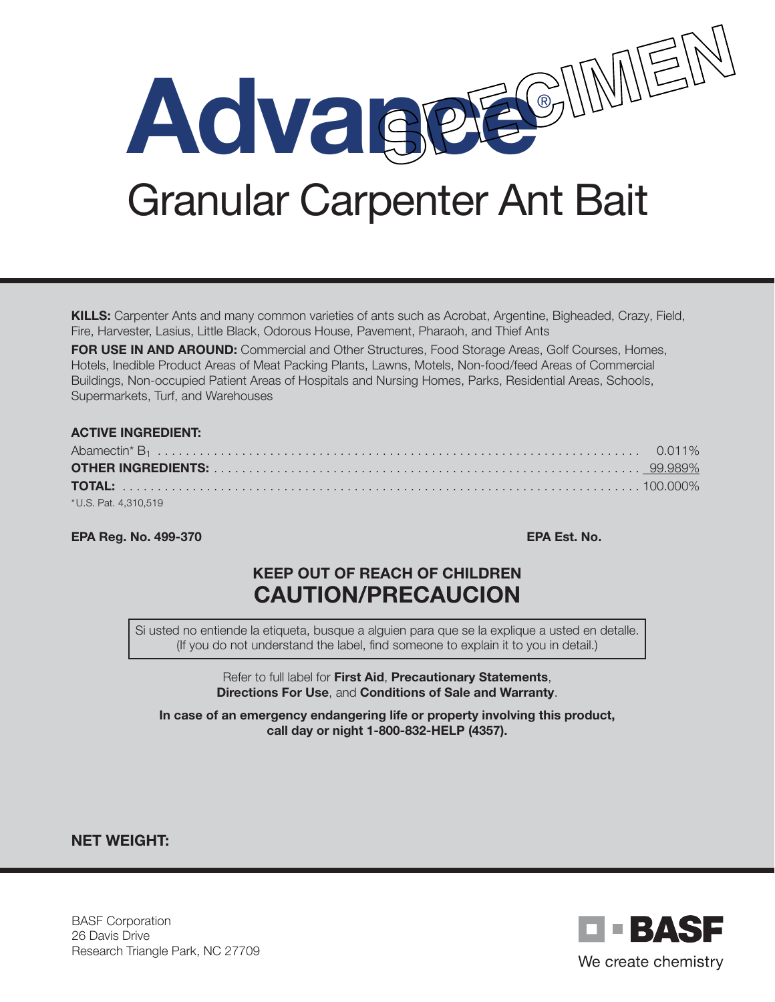

Granular Carpenter Ant Bait

KILLS: Carpenter Ants and many common varieties of ants such as Acrobat, Argentine, Bigheaded, Crazy, Field, Fire, Harvester, Lasius, Little Black, Odorous House, Pavement, Pharaoh, and Thief Ants

FOR USE IN AND AROUND: Commercial and Other Structures, Food Storage Areas, Golf Courses, Homes, Hotels, Inedible Product Areas of Meat Packing Plants, Lawns, Motels, Non-food/feed Areas of Commercial Buildings, Non-occupied Patient Areas of Hospitals and Nursing Homes, Parks, Residential Areas, Schools, Supermarkets, Turf, and Warehouses

#### ACTIVE INGREDIENT:

| * U.S. Pat. 4,310,519 |  |
|-----------------------|--|

EPA Reg. No. 499-370 EPA Est. No.

# KEEP OUT OF REACH OF CHILDREN CAUTION/PRECAUCION

Si usted no entiende la etiqueta, busque a alguien para que se la explique a usted en detalle. (If you do not understand the label, find someone to explain it to you in detail.)

> Refer to full label for First Aid, Precautionary Statements, Directions For Use, and Conditions of Sale and Warranty.

In case of an emergency endangering life or property involving this product, call day or night 1-800-832-HELP (4357).

NET WEIGHT:

BASF Corporation 26 Davis Drive Research Triangle Park, NC 27709

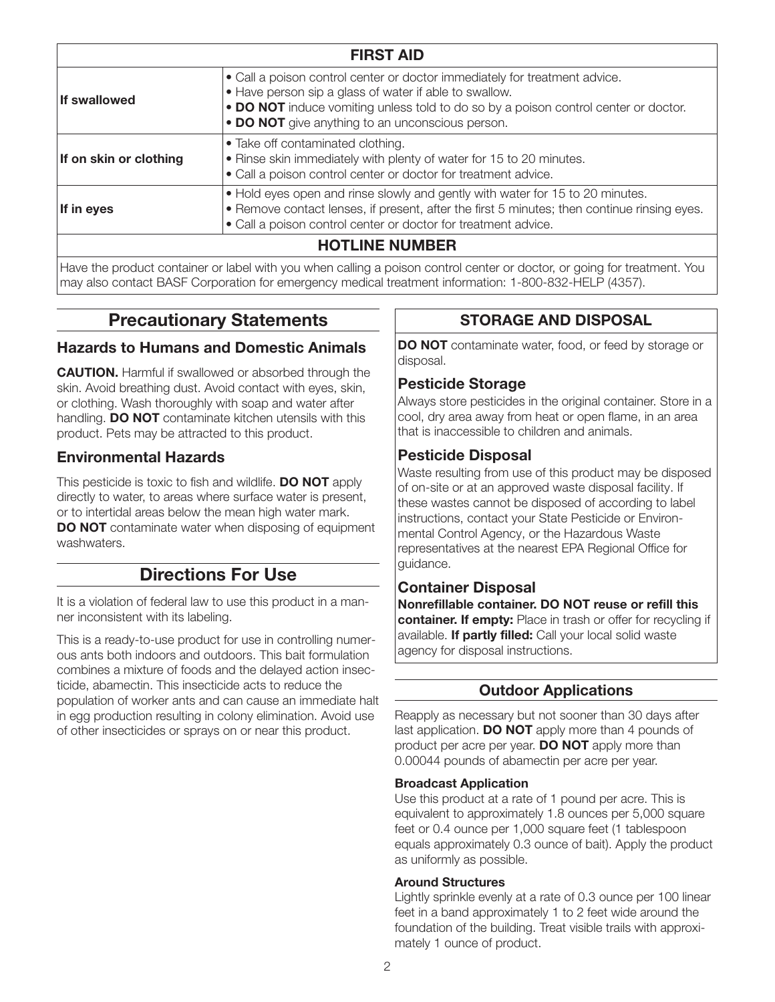| <b>FIRST AID</b>       |                                                                                                                                                                                                                                                                                 |
|------------------------|---------------------------------------------------------------------------------------------------------------------------------------------------------------------------------------------------------------------------------------------------------------------------------|
| <b>If swallowed</b>    | • Call a poison control center or doctor immediately for treatment advice.<br>• Have person sip a glass of water if able to swallow.<br>• DO NOT induce vomiting unless told to do so by a poison control center or doctor.<br>• DO NOT give anything to an unconscious person. |
| If on skin or clothing | • Take off contaminated clothing.<br>. Rinse skin immediately with plenty of water for 15 to 20 minutes.<br>• Call a poison control center or doctor for treatment advice.                                                                                                      |
| If in eyes             | • Hold eyes open and rinse slowly and gently with water for 15 to 20 minutes.<br>• Remove contact lenses, if present, after the first 5 minutes; then continue rinsing eyes.<br>• Call a poison control center or doctor for treatment advice.                                  |
|                        | <b>HOTLINE NUMBER</b>                                                                                                                                                                                                                                                           |
|                        | Have the product container or label with you when calling a poison central center or doctor, or going for trastment. You                                                                                                                                                        |

Have the product container or label with you when calling a poison control center or doctor, or going for treatment. You may also contact BASF Corporation for emergency medical treatment information: 1-800-832-HELP (4357).

## Precautionary Statements

### Hazards to Humans and Domestic Animals

CAUTION. Harmful if swallowed or absorbed through the skin. Avoid breathing dust. Avoid contact with eyes, skin, or clothing. Wash thoroughly with soap and water after handling. **DO NOT** contaminate kitchen utensils with this product. Pets may be attracted to this product.

### Environmental Hazards

This pesticide is toxic to fish and wildlife. **DO NOT** apply directly to water, to areas where surface water is present, or to intertidal areas below the mean high water mark. DO NOT contaminate water when disposing of equipment washwaters.

## Directions For Use

It is a violation of federal law to use this product in a manner inconsistent with its labeling.

This is a ready-to-use product for use in controlling numerous ants both indoors and outdoors. This bait formulation combines a mixture of foods and the delayed action insecticide, abamectin. This insecticide acts to reduce the population of worker ants and can cause an immediate halt in egg production resulting in colony elimination. Avoid use of other insecticides or sprays on or near this product.

### STORAGE AND DISPOSAL

DO NOT contaminate water, food, or feed by storage or disposal.

### Pesticide Storage

Always store pesticides in the original container. Store in a cool, dry area away from heat or open flame, in an area that is inaccessible to children and animals.

### Pesticide Disposal

Waste resulting from use of this product may be disposed of on-site or at an approved waste disposal facility. If these wastes cannot be disposed of according to label instructions, contact your State Pesticide or Environmental Control Agency, or the Hazardous Waste representatives at the nearest EPA Regional Office for guidance.

### Container Disposal

Nonrefillable container. DO NOT reuse or refill this container. If empty: Place in trash or offer for recycling if available. If partly filled: Call your local solid waste agency for disposal instructions.

### Outdoor Applications

Reapply as necessary but not sooner than 30 days after last application. DO NOT apply more than 4 pounds of product per acre per year. **DO NOT** apply more than 0.00044 pounds of abamectin per acre per year.

#### Broadcast Application

Use this product at a rate of 1 pound per acre. This is equivalent to approximately 1.8 ounces per 5,000 square feet or 0.4 ounce per 1,000 square feet (1 tablespoon equals approximately 0.3 ounce of bait). Apply the product as uniformly as possible.

#### Around Structures

Lightly sprinkle evenly at a rate of 0.3 ounce per 100 linear feet in a band approximately 1 to 2 feet wide around the foundation of the building. Treat visible trails with approximately 1 ounce of product.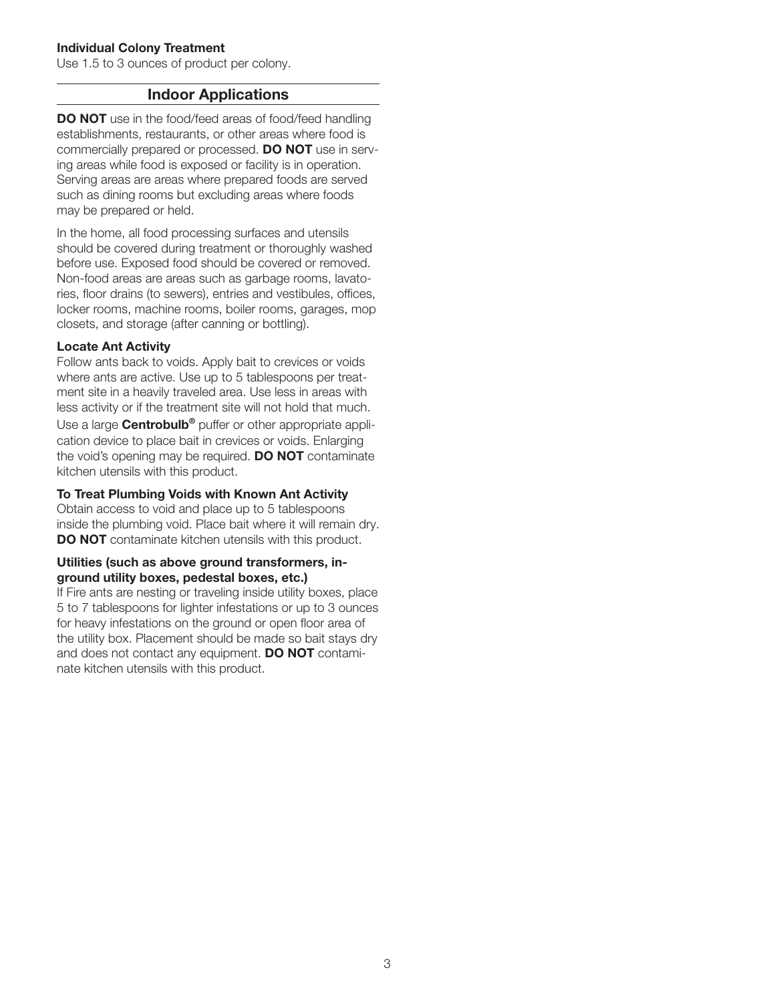#### Individual Colony Treatment

Use 1.5 to 3 ounces of product per colony.

### Indoor Applications

DO NOT use in the food/feed areas of food/feed handling establishments, restaurants, or other areas where food is commercially prepared or processed. **DO NOT** use in serving areas while food is exposed or facility is in operation. Serving areas are areas where prepared foods are served such as dining rooms but excluding areas where foods may be prepared or held.

In the home, all food processing surfaces and utensils should be covered during treatment or thoroughly washed before use. Exposed food should be covered or removed. Non-food areas are areas such as garbage rooms, lavatories, floor drains (to sewers), entries and vestibules, offices, locker rooms, machine rooms, boiler rooms, garages, mop closets, and storage (after canning or bottling).

#### Locate Ant Activity

Follow ants back to voids. Apply bait to crevices or voids where ants are active. Use up to 5 tablespoons per treatment site in a heavily traveled area. Use less in areas with less activity or if the treatment site will not hold that much. Use a large **Centrobulb<sup>®</sup>** puffer or other appropriate application device to place bait in crevices or voids. Enlarging the void's opening may be required. **DO NOT** contaminate kitchen utensils with this product.

#### To Treat Plumbing Voids with Known Ant Activity

Obtain access to void and place up to 5 tablespoons inside the plumbing void. Place bait where it will remain dry. DO NOT contaminate kitchen utensils with this product.

#### Utilities (such as above ground transformers, inground utility boxes, pedestal boxes, etc.)

If Fire ants are nesting or traveling inside utility boxes, place 5 to 7 tablespoons for lighter infestations or up to 3 ounces for heavy infestations on the ground or open floor area of the utility box. Placement should be made so bait stays dry and does not contact any equipment. **DO NOT** contaminate kitchen utensils with this product.